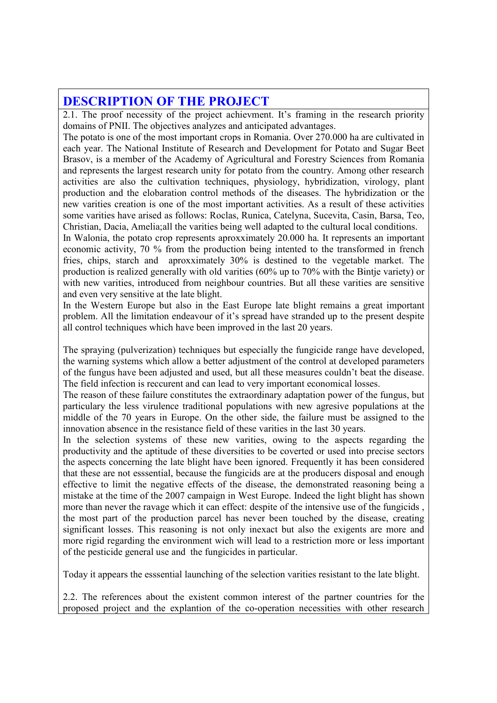## DESCRIPTION OF THE PROJECT

2.1. The proof necessity of the project achievment. It's framing in the research priority domains of PNII. The objectives analyzes and anticipated advantages.

The potato is one of the most important crops in Romania. Over 270.000 ha are cultivated in each year. The National Institute of Research and Development for Potato and Sugar Beet Brasov, is a member of the Academy of Agricultural and Forestry Sciences from Romania and represents the largest research unity for potato from the country. Among other research activities are also the cultivation techniques, physiology, hybridization, virology, plant production and the elobaration control methods of the diseases. The hybridization or the new varities creation is one of the most important activities. As a result of these activities some varities have arised as follows: Roclas, Runica, Catelyna, Sucevita, Casin, Barsa, Teo, Christian, Dacia, Amelia;all the varities being well adapted to the cultural local conditions.

In Walonia, the potato crop represents aproxximately 20.000 ha. It represents an important economic activity, 70 % from the production being intented to the transformed in french fries, chips, starch and aproxximately 30% is destined to the vegetable market. The production is realized generally with old varities (60% up to 70% with the Bintje variety) or with new varities, introduced from neighbour countries. But all these varities are sensitive and even very sensitive at the late blight.

In the Western Europe but also in the East Europe late blight remains a great important problem. All the limitation endeavour of it's spread have stranded up to the present despite all control techniques which have been improved in the last 20 years.

The spraying (pulverization) techniques but especially the fungicide range have developed, the warning systems which allow a better adjustment of the control at developed parameters of the fungus have been adjusted and used, but all these measures couldn't beat the disease. The field infection is reccurent and can lead to very important economical losses.

The reason of these failure constitutes the extraordinary adaptation power of the fungus, but particulary the less virulence traditional populations with new agresive populations at the middle of the 70 years in Europe. On the other side, the failure must be assigned to the innovation absence in the resistance field of these varities in the last 30 years.

In the selection systems of these new varities, owing to the aspects regarding the productivity and the aptitude of these diversities to be coverted or used into precise sectors the aspects concerning the late blight have been ignored. Frequently it has been considered that these are not esssential, because the fungicids are at the producers disposal and enough effective to limit the negative effects of the disease, the demonstrated reasoning being a mistake at the time of the 2007 campaign in West Europe. Indeed the light blight has shown more than never the ravage which it can effect: despite of the intensive use of the fungicids , the most part of the production parcel has never been touched by the disease, creating significant losses. This reasoning is not only inexact but also the exigents are more and more rigid regarding the environment wich will lead to a restriction more or less important of the pesticide general use and the fungicides in particular.

Today it appears the esssential launching of the selection varities resistant to the late blight.

2.2. The references about the existent common interest of the partner countries for the proposed project and the explantion of the co-operation necessities with other research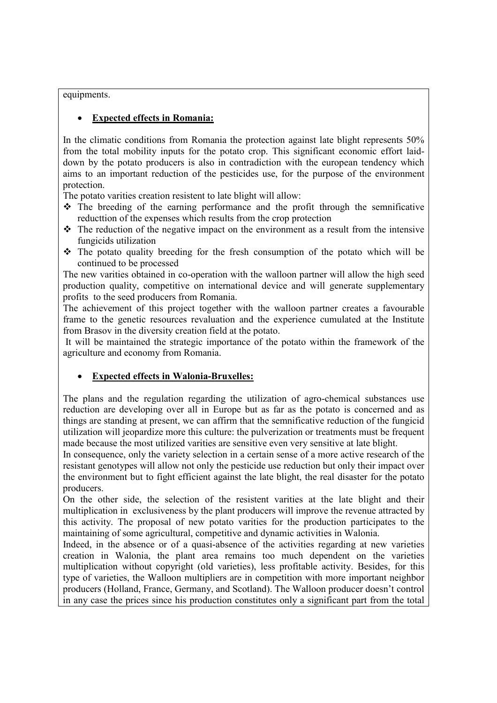equipments.

## **Expected effects in Romania:**

In the climatic conditions from Romania the protection against late blight represents 50% from the total mobility inputs for the potato crop. This significant economic effort laiddown by the potato producers is also in contradiction with the european tendency which aims to an important reduction of the pesticides use, for the purpose of the environment protection.

The potato varities creation resistent to late blight will allow:

- $\div$  The breeding of the earning performance and the profit through the semnificative reducttion of the expenses which results from the crop protection
- $\cdot \cdot$  The reduction of the negative impact on the environment as a result from the intensive fungicids utilization
- The potato quality breeding for the fresh consumption of the potato which will be continued to be processed

The new varities obtained in co-operation with the walloon partner will allow the high seed production quality, competitive on international device and will generate supplementary profits to the seed producers from Romania.

The achievement of this project together with the walloon partner creates a favourable frame to the genetic resources revaluation and the experience cumulated at the Institute from Brasov in the diversity creation field at the potato.

 It will be maintained the strategic importance of the potato within the framework of the agriculture and economy from Romania.

## • Expected effects in Walonia-Bruxelles:

The plans and the regulation regarding the utilization of agro-chemical substances use reduction are developing over all in Europe but as far as the potato is concerned and as things are standing at present, we can affirm that the semnificative reduction of the fungicid utilization will jeopardize more this culture: the pulverization or treatments must be frequent made because the most utilized varities are sensitive even very sensitive at late blight.

In consequence, only the variety selection in a certain sense of a more active research of the resistant genotypes will allow not only the pesticide use reduction but only their impact over the environment but to fight efficient against the late blight, the real disaster for the potato producers.

On the other side, the selection of the resistent varities at the late blight and their multiplication in exclusiveness by the plant producers will improve the revenue attracted by this activity. The proposal of new potato varities for the production participates to the maintaining of some agricultural, competitive and dynamic activities in Walonia.

Indeed, in the absence or of a quasi-absence of the activities regarding at new varieties creation in Walonia, the plant area remains too much dependent on the varieties multiplication without copyright (old varieties), less profitable activity. Besides, for this type of varieties, the Walloon multipliers are in competition with more important neighbor producers (Holland, France, Germany, and Scotland). The Walloon producer doesn't control in any case the prices since his production constitutes only a significant part from the total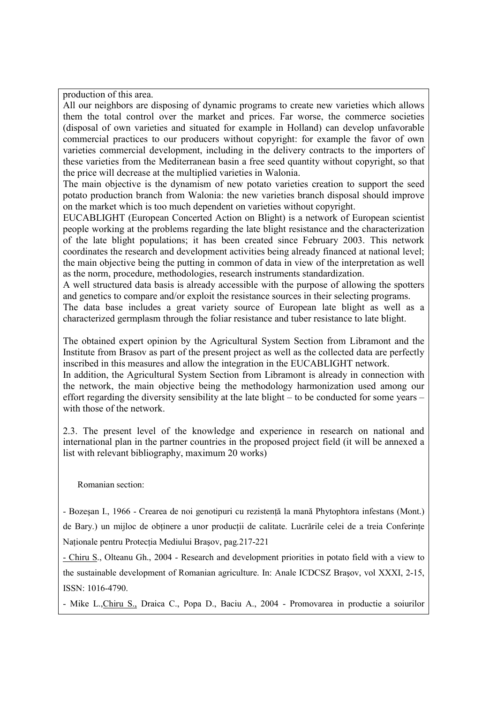production of this area.

All our neighbors are disposing of dynamic programs to create new varieties which allows them the total control over the market and prices. Far worse, the commerce societies (disposal of own varieties and situated for example in Holland) can develop unfavorable commercial practices to our producers without copyright: for example the favor of own varieties commercial development, including in the delivery contracts to the importers of these varieties from the Mediterranean basin a free seed quantity without copyright, so that the price will decrease at the multiplied varieties in Walonia.

The main objective is the dynamism of new potato varieties creation to support the seed potato production branch from Walonia: the new varieties branch disposal should improve on the market which is too much dependent on varieties without copyright.

EUCABLIGHT (European Concerted Action on Blight) is a network of European scientist people working at the problems regarding the late blight resistance and the characterization of the late blight populations; it has been created since February 2003. This network coordinates the research and development activities being already financed at national level; the main objective being the putting in common of data in view of the interpretation as well as the norm, procedure, methodologies, research instruments standardization.

A well structured data basis is already accessible with the purpose of allowing the spotters and genetics to compare and/or exploit the resistance sources in their selecting programs.

The data base includes a great variety source of European late blight as well as a characterized germplasm through the foliar resistance and tuber resistance to late blight.

The obtained expert opinion by the Agricultural System Section from Libramont and the Institute from Brasov as part of the present project as well as the collected data are perfectly inscribed in this measures and allow the integration in the EUCABLIGHT network.

In addition, the Agricultural System Section from Libramont is already in connection with the network, the main objective being the methodology harmonization used among our effort regarding the diversity sensibility at the late blight – to be conducted for some years – with those of the network.

2.3. The present level of the knowledge and experience in research on national and international plan in the partner countries in the proposed project field (it will be annexed a list with relevant bibliography, maximum 20 works)

Romanian section:

- Bozesan I., 1966 - Crearea de noi genotipuri cu rezistentă la mană Phytophtora infestans (Mont.)

de Bary.) un mijloc de obținere a unor producții de calitate. Lucrările celei de a treia Conferințe Naționale pentru Protecția Mediului Brașov, pag.217-221

- Chiru S., Olteanu Gh., 2004 - Research and development priorities in potato field with a view to the sustainable development of Romanian agriculture. In: Anale ICDCSZ Braşov, vol XXXI, 2-15, ISSN: 1016-4790.

- Mike L.,Chiru S., Draica C., Popa D., Baciu A., 2004 - Promovarea in productie a soiurilor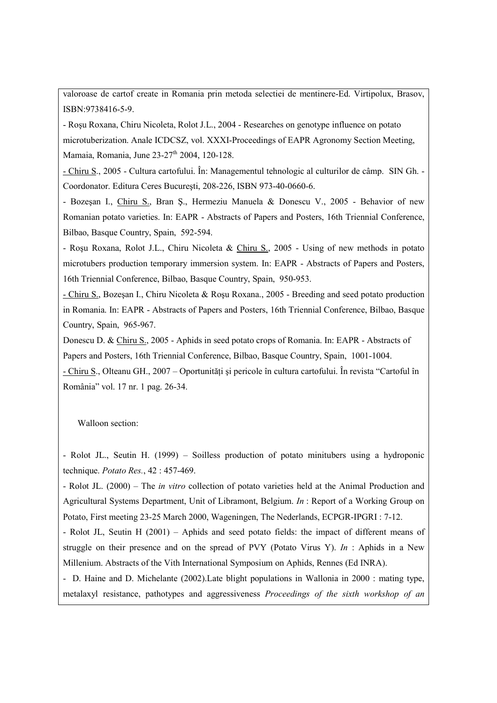valoroase de cartof create in Romania prin metoda selectiei de mentinere-Ed. Virtipolux, Brasov, ISBN:9738416-5-9.

- Roşu Roxana, Chiru Nicoleta, Rolot J.L., 2004 - Researches on genotype influence on potato microtuberization. Anale ICDCSZ, vol. XXXI-Proceedings of EAPR Agronomy Section Meeting, Mamaia, Romania, June 23-27<sup>th</sup> 2004, 120-128.

- Chiru S., 2005 - Cultura cartofului. În: Managementul tehnologic al culturilor de câmp. SIN Gh. - Coordonator. Editura Ceres Bucureşti, 208-226, ISBN 973-40-0660-6.

- Bozeşan I., Chiru S., Bran Ş., Hermeziu Manuela & Donescu V., 2005 - Behavior of new Romanian potato varieties. In: EAPR - Abstracts of Papers and Posters, 16th Triennial Conference, Bilbao, Basque Country, Spain, 592-594.

- Roşu Roxana, Rolot J.L., Chiru Nicoleta & Chiru S., 2005 - Using of new methods in potato microtubers production temporary immersion system. In: EAPR - Abstracts of Papers and Posters, 16th Triennial Conference, Bilbao, Basque Country, Spain, 950-953.

- Chiru S., Bozeşan I., Chiru Nicoleta & Roşu Roxana., 2005 - Breeding and seed potato production in Romania. In: EAPR - Abstracts of Papers and Posters, 16th Triennial Conference, Bilbao, Basque Country, Spain, 965-967.

Donescu D. & Chiru S., 2005 - Aphids in seed potato crops of Romania. In: EAPR - Abstracts of Papers and Posters, 16th Triennial Conference, Bilbao, Basque Country, Spain, 1001-1004.

- Chiru S., Olteanu GH., 2007 – Oportunități și pericole în cultura cartofului. În revista "Cartoful în România" vol. 17 nr. 1 pag. 26-34.

Walloon section:

- Rolot JL., Seutin H. (1999) – Soilless production of potato minitubers using a hydroponic technique. Potato Res., 42 : 457-469.

- Rolot JL. (2000) – The in vitro collection of potato varieties held at the Animal Production and Agricultural Systems Department, Unit of Libramont, Belgium. In : Report of a Working Group on Potato, First meeting 23-25 March 2000, Wageningen, The Nederlands, ECPGR-IPGRI : 7-12.

- Rolot JL, Seutin H (2001) – Aphids and seed potato fields: the impact of different means of struggle on their presence and on the spread of PVY (Potato Virus Y). In : Aphids in a New Millenium. Abstracts of the Vith International Symposium on Aphids, Rennes (Ed INRA).

- D. Haine and D. Michelante (2002).Late blight populations in Wallonia in 2000 : mating type, metalaxyl resistance, pathotypes and aggressiveness Proceedings of the sixth workshop of an